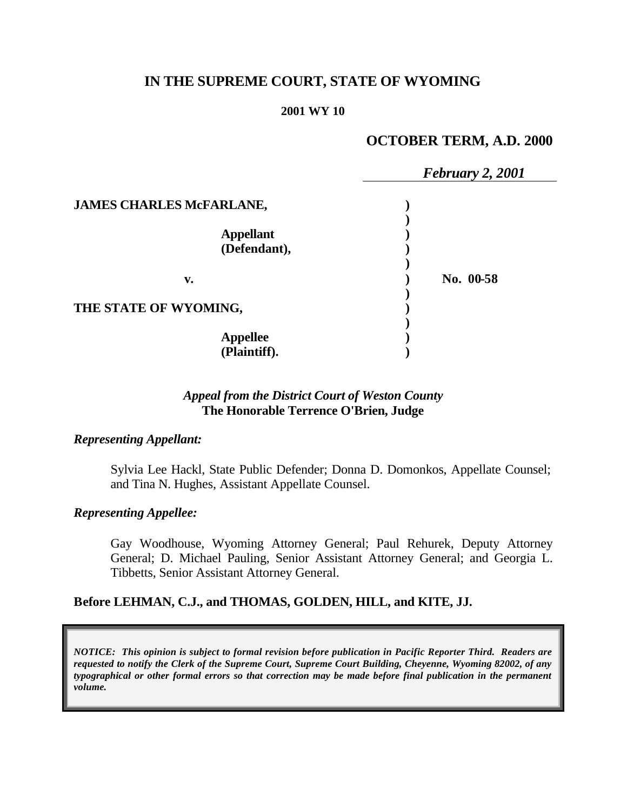# **IN THE SUPREME COURT, STATE OF WYOMING**

## **2001 WY 10**

# **OCTOBER TERM, A.D. 2000**

|                                 | February 2, 2001 |
|---------------------------------|------------------|
| <b>JAMES CHARLES McFARLANE,</b> |                  |
|                                 |                  |
| <b>Appellant</b>                |                  |
| (Defendant),                    |                  |
| v.                              | No. 00-58        |
| THE STATE OF WYOMING,           |                  |
|                                 |                  |
| <b>Appellee</b>                 |                  |
| (Plaintiff).                    |                  |

# *Appeal from the District Court of Weston County* **The Honorable Terrence O'Brien, Judge**

# *Representing Appellant:*

Sylvia Lee Hackl, State Public Defender; Donna D. Domonkos, Appellate Counsel; and Tina N. Hughes, Assistant Appellate Counsel.

# *Representing Appellee:*

Gay Woodhouse, Wyoming Attorney General; Paul Rehurek, Deputy Attorney General; D. Michael Pauling, Senior Assistant Attorney General; and Georgia L. Tibbetts, Senior Assistant Attorney General.

# **Before LEHMAN, C.J., and THOMAS, GOLDEN, HILL, and KITE, JJ.**

*NOTICE: This opinion is subject to formal revision before publication in Pacific Reporter Third. Readers are requested to notify the Clerk of the Supreme Court, Supreme Court Building, Cheyenne, Wyoming 82002, of any typographical or other formal errors so that correction may be made before final publication in the permanent volume.*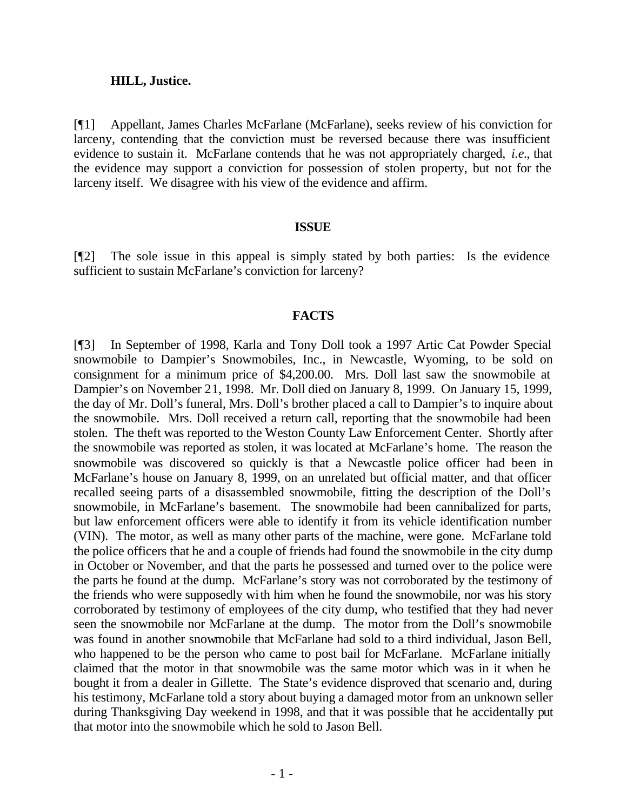#### **HILL, Justice.**

[¶1] Appellant, James Charles McFarlane (McFarlane), seeks review of his conviction for larceny, contending that the conviction must be reversed because there was insufficient evidence to sustain it. McFarlane contends that he was not appropriately charged, *i.e.*, that the evidence may support a conviction for possession of stolen property, but not for the larceny itself. We disagree with his view of the evidence and affirm.

## **ISSUE**

[¶2] The sole issue in this appeal is simply stated by both parties: Is the evidence sufficient to sustain McFarlane's conviction for larceny?

## **FACTS**

[¶3] In September of 1998, Karla and Tony Doll took a 1997 Artic Cat Powder Special snowmobile to Dampier's Snowmobiles, Inc., in Newcastle, Wyoming, to be sold on consignment for a minimum price of \$4,200.00. Mrs. Doll last saw the snowmobile at Dampier's on November 21, 1998. Mr. Doll died on January 8, 1999. On January 15, 1999, the day of Mr. Doll's funeral, Mrs. Doll's brother placed a call to Dampier's to inquire about the snowmobile. Mrs. Doll received a return call, reporting that the snowmobile had been stolen. The theft was reported to the Weston County Law Enforcement Center. Shortly after the snowmobile was reported as stolen, it was located at McFarlane's home. The reason the snowmobile was discovered so quickly is that a Newcastle police officer had been in McFarlane's house on January 8, 1999, on an unrelated but official matter, and that officer recalled seeing parts of a disassembled snowmobile, fitting the description of the Doll's snowmobile, in McFarlane's basement. The snowmobile had been cannibalized for parts, but law enforcement officers were able to identify it from its vehicle identification number (VIN). The motor, as well as many other parts of the machine, were gone. McFarlane told the police officers that he and a couple of friends had found the snowmobile in the city dump in October or November, and that the parts he possessed and turned over to the police were the parts he found at the dump. McFarlane's story was not corroborated by the testimony of the friends who were supposedly with him when he found the snowmobile, nor was his story corroborated by testimony of employees of the city dump, who testified that they had never seen the snowmobile nor McFarlane at the dump. The motor from the Doll's snowmobile was found in another snowmobile that McFarlane had sold to a third individual, Jason Bell, who happened to be the person who came to post bail for McFarlane. McFarlane initially claimed that the motor in that snowmobile was the same motor which was in it when he bought it from a dealer in Gillette. The State's evidence disproved that scenario and, during his testimony, McFarlane told a story about buying a damaged motor from an unknown seller during Thanksgiving Day weekend in 1998, and that it was possible that he accidentally put that motor into the snowmobile which he sold to Jason Bell.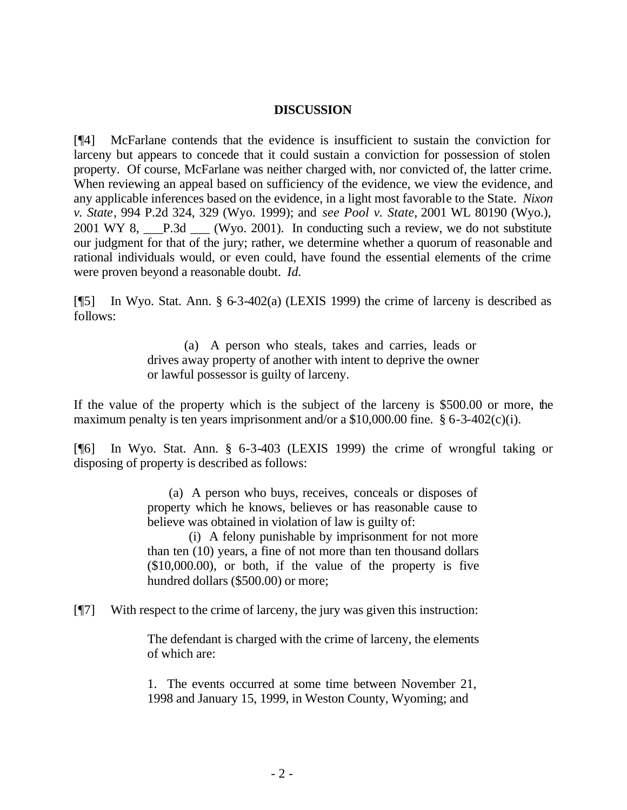# **DISCUSSION**

[¶4] McFarlane contends that the evidence is insufficient to sustain the conviction for larceny but appears to concede that it could sustain a conviction for possession of stolen property. Of course, McFarlane was neither charged with, nor convicted of, the latter crime. When reviewing an appeal based on sufficiency of the evidence, we view the evidence, and any applicable inferences based on the evidence, in a light most favorable to the State. *Nixon v. State*, 994 P.2d 324, 329 (Wyo. 1999); and *see Pool v. State,* 2001 WL 80190 (Wyo.), 2001 WY 8, P.3d (Wyo. 2001). In conducting such a review, we do not substitute our judgment for that of the jury; rather, we determine whether a quorum of reasonable and rational individuals would, or even could, have found the essential elements of the crime were proven beyond a reasonable doubt. *Id.*

[¶5] In Wyo. Stat. Ann. § 6-3-402(a) (LEXIS 1999) the crime of larceny is described as follows:

> (a) A person who steals, takes and carries, leads or drives away property of another with intent to deprive the owner or lawful possessor is guilty of larceny.

If the value of the property which is the subject of the larceny is \$500.00 or more, the maximum penalty is ten years imprisonment and/or a  $$10,000.00$  fine.  $$6-3-402(c)(i)$ .

[¶6] In Wyo. Stat. Ann. § 6-3-403 (LEXIS 1999) the crime of wrongful taking or disposing of property is described as follows:

> (a) A person who buys, receives, conceals or disposes of property which he knows, believes or has reasonable cause to believe was obtained in violation of law is guilty of:

> (i) A felony punishable by imprisonment for not more than ten (10) years, a fine of not more than ten thousand dollars (\$10,000.00), or both, if the value of the property is five hundred dollars (\$500.00) or more;

[¶7] With respect to the crime of larceny, the jury was given this instruction:

The defendant is charged with the crime of larceny, the elements of which are:

1. The events occurred at some time between November 21, 1998 and January 15, 1999, in Weston County, Wyoming; and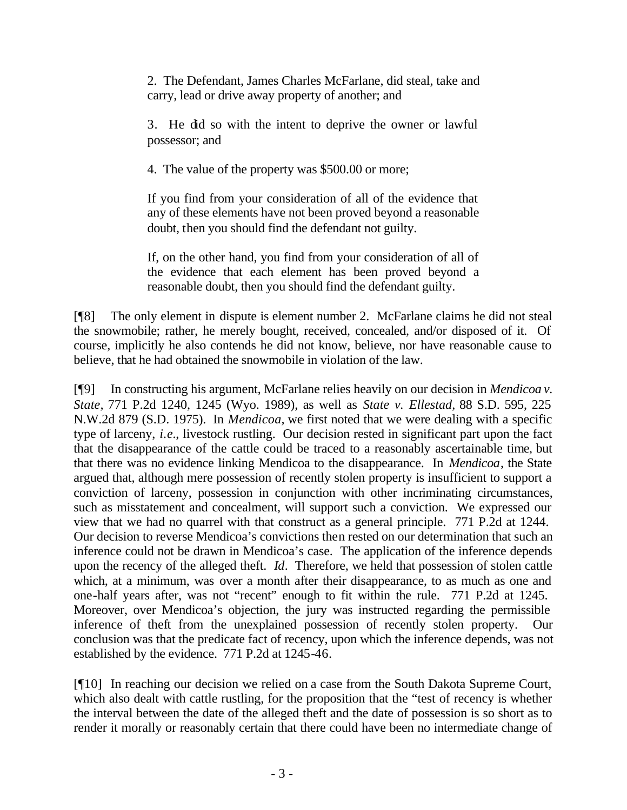2. The Defendant, James Charles McFarlane, did steal, take and carry, lead or drive away property of another; and

3. He did so with the intent to deprive the owner or lawful possessor; and

4. The value of the property was \$500.00 or more;

If you find from your consideration of all of the evidence that any of these elements have not been proved beyond a reasonable doubt, then you should find the defendant not guilty.

If, on the other hand, you find from your consideration of all of the evidence that each element has been proved beyond a reasonable doubt, then you should find the defendant guilty.

[¶8] The only element in dispute is element number 2. McFarlane claims he did not steal the snowmobile; rather, he merely bought, received, concealed, and/or disposed of it. Of course, implicitly he also contends he did not know, believe, nor have reasonable cause to believe, that he had obtained the snowmobile in violation of the law.

[¶9] In constructing his argument, McFarlane relies heavily on our decision in *Mendicoa v. State,* 771 P.2d 1240, 1245 (Wyo. 1989), as well as *State v. Ellestad,* 88 S.D. 595, 225 N.W.2d 879 (S.D. 1975). In *Mendicoa,* we first noted that we were dealing with a specific type of larceny, *i.e.*, livestock rustling. Our decision rested in significant part upon the fact that the disappearance of the cattle could be traced to a reasonably ascertainable time, but that there was no evidence linking Mendicoa to the disappearance. In *Mendicoa*, the State argued that, although mere possession of recently stolen property is insufficient to support a conviction of larceny, possession in conjunction with other incriminating circumstances, such as misstatement and concealment, will support such a conviction. We expressed our view that we had no quarrel with that construct as a general principle. 771 P.2d at 1244. Our decision to reverse Mendicoa's convictions then rested on our determination that such an inference could not be drawn in Mendicoa's case. The application of the inference depends upon the recency of the alleged theft. *Id*. Therefore, we held that possession of stolen cattle which, at a minimum, was over a month after their disappearance, to as much as one and one-half years after, was not "recent" enough to fit within the rule. 771 P.2d at 1245. Moreover, over Mendicoa's objection, the jury was instructed regarding the permissible inference of theft from the unexplained possession of recently stolen property. Our conclusion was that the predicate fact of recency, upon which the inference depends, was not established by the evidence. 771 P.2d at 1245-46.

[¶10] In reaching our decision we relied on a case from the South Dakota Supreme Court, which also dealt with cattle rustling, for the proposition that the "test of recency is whether the interval between the date of the alleged theft and the date of possession is so short as to render it morally or reasonably certain that there could have been no intermediate change of